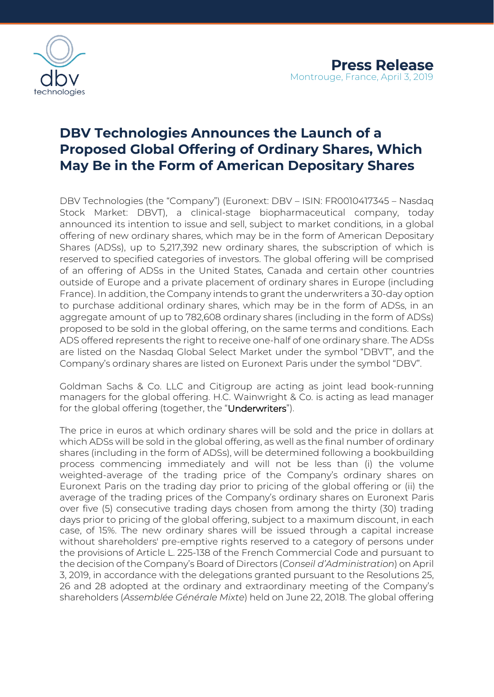

# **DBV Technologies Announces the Launch of a Proposed Global Offering of Ordinary Shares, Which May Be in the Form of American Depositary Shares**

DBV Technologies (the "Company") (Euronext: DBV – ISIN: FR0010417345 – Nasdaq Stock Market: DBVT), a clinical-stage biopharmaceutical company, today announced its intention to issue and sell, subject to market conditions, in a global offering of new ordinary shares, which may be in the form of American Depositary Shares (ADSs), up to 5,217,392 new ordinary shares, the subscription of which is reserved to specified categories of investors. The global offering will be comprised of an offering of ADSs in the United States, Canada and certain other countries outside of Europe and a private placement of ordinary shares in Europe (including France). In addition, the Company intends to grant the underwriters a 30-day option to purchase additional ordinary shares, which may be in the form of ADSs, in an aggregate amount of up to 782,608 ordinary shares (including in the form of ADSs) proposed to be sold in the global offering, on the same terms and conditions. Each ADS offered represents the right to receive one-half of one ordinary share. The ADSs are listed on the Nasdaq Global Select Market under the symbol "DBVT", and the Company's ordinary shares are listed on Euronext Paris under the symbol "DBV".

Goldman Sachs & Co. LLC and Citigroup are acting as joint lead book-running managers for the global offering. H.C. Wainwright & Co. is acting as lead manager for the global offering (together, the "Underwriters").

The price in euros at which ordinary shares will be sold and the price in dollars at which ADSs will be sold in the global offering, as well as the final number of ordinary shares (including in the form of ADSs), will be determined following a bookbuilding process commencing immediately and will not be less than (i) the volume weighted-average of the trading price of the Company's ordinary shares on Euronext Paris on the trading day prior to pricing of the global offering or (ii) the average of the trading prices of the Company's ordinary shares on Euronext Paris over five (5) consecutive trading days chosen from among the thirty (30) trading days prior to pricing of the global offering, subject to a maximum discount, in each case, of 15%. The new ordinary shares will be issued through a capital increase without shareholders' pre-emptive rights reserved to a category of persons under the provisions of Article L. 225-138 of the French Commercial Code and pursuant to the decision of the Company's Board of Directors (*Conseil d'Administration*) on April 3, 2019, in accordance with the delegations granted pursuant to the Resolutions 25, 26 and 28 adopted at the ordinary and extraordinary meeting of the Company's shareholders (*Assemblée Générale Mixte*) held on June 22, 2018. The global offering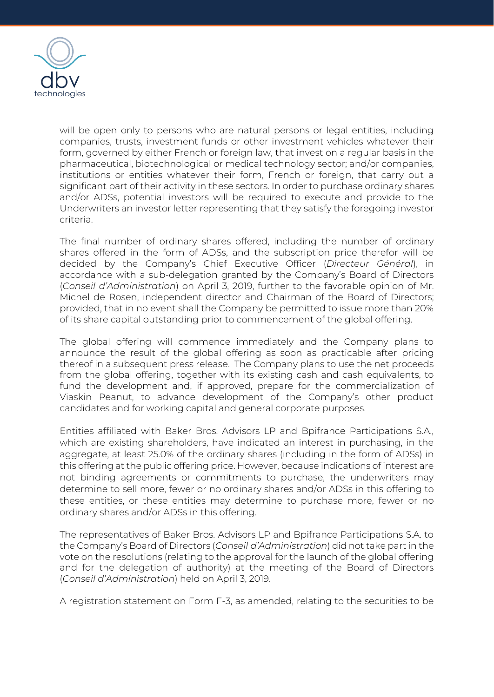

will be open only to persons who are natural persons or legal entities, including companies, trusts, investment funds or other investment vehicles whatever their form, governed by either French or foreign law, that invest on a regular basis in the pharmaceutical, biotechnological or medical technology sector; and/or companies, institutions or entities whatever their form, French or foreign, that carry out a significant part of their activity in these sectors. In order to purchase ordinary shares and/or ADSs, potential investors will be required to execute and provide to the Underwriters an investor letter representing that they satisfy the foregoing investor criteria.

The final number of ordinary shares offered, including the number of ordinary shares offered in the form of ADSs, and the subscription price therefor will be decided by the Company's Chief Executive Officer (*Directeur Général*), in accordance with a sub-delegation granted by the Company's Board of Directors (*Conseil d'Administration*) on April 3, 2019, further to the favorable opinion of Mr. Michel de Rosen, independent director and Chairman of the Board of Directors; provided, that in no event shall the Company be permitted to issue more than 20% of its share capital outstanding prior to commencement of the global offering.

The global offering will commence immediately and the Company plans to announce the result of the global offering as soon as practicable after pricing thereof in a subsequent press release. The Company plans to use the net proceeds from the global offering, together with its existing cash and cash equivalents, to fund the development and, if approved, prepare for the commercialization of Viaskin Peanut, to advance development of the Company's other product candidates and for working capital and general corporate purposes.

Entities affiliated with Baker Bros. Advisors LP and Bpifrance Participations S.A., which are existing shareholders, have indicated an interest in purchasing, in the aggregate, at least 25.0% of the ordinary shares (including in the form of ADSs) in this offering at the public offering price. However, because indications of interest are not binding agreements or commitments to purchase, the underwriters may determine to sell more, fewer or no ordinary shares and/or ADSs in this offering to these entities, or these entities may determine to purchase more, fewer or no ordinary shares and/or ADSs in this offering.

The representatives of Baker Bros. Advisors LP and Bpifrance Participations S.A. to the Company's Board of Directors (*Conseil d'Administration*) did not take part in the vote on the resolutions (relating to the approval for the launch of the global offering and for the delegation of authority) at the meeting of the Board of Directors (*Conseil d'Administration*) held on April 3, 2019.

A registration statement on Form F-3, as amended, relating to the securities to be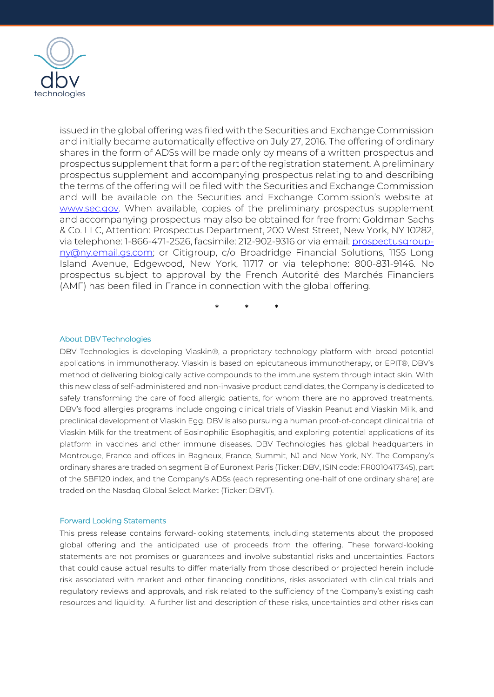

issued in the global offering was filed with the Securities and Exchange Commission and initially became automatically effective on July 27, 2016. The offering of ordinary shares in the form of ADSs will be made only by means of a written prospectus and prospectus supplement that form a part of the registration statement. A preliminary prospectus supplement and accompanying prospectus relating to and describing the terms of the offering will be filed with the Securities and Exchange Commission and will be available on the Securities and Exchange Commission's website at [www.sec.gov.](http://www.sec.gov/) When available, copies of the preliminary prospectus supplement and accompanying prospectus may also be obtained for free from: Goldman Sachs & Co. LLC, Attention: Prospectus Department, 200 West Street, New York, NY 10282, via telephone: 1-866-471-2526, facsimile: 212-902-9316 or via email: [prospectusgroup](mailto:prospectusgroup-ny@ny.email.gs.com)[ny@ny.email.gs.com;](mailto:prospectusgroup-ny@ny.email.gs.com) or Citigroup, c/o Broadridge Financial Solutions, 1155 Long Island Avenue, Edgewood, New York, 11717 or via telephone: 800-831-9146. No prospectus subject to approval by the French Autorité des Marchés Financiers (AMF) has been filed in France in connection with the global offering.

**\* \* \***

#### About DBV Technologies

DBV Technologies is developing Viaskin®, a proprietary technology platform with broad potential applications in immunotherapy. Viaskin is based on epicutaneous immunotherapy, or EPIT®, DBV's method of delivering biologically active compounds to the immune system through intact skin. With this new class of self-administered and non-invasive product candidates, the Company is dedicated to safely transforming the care of food allergic patients, for whom there are no approved treatments. DBV's food allergies programs include ongoing clinical trials of Viaskin Peanut and Viaskin Milk, and preclinical development of Viaskin Egg. DBV is also pursuing a human proof-of-concept clinical trial of Viaskin Milk for the treatment of Eosinophilic Esophagitis, and exploring potential applications of its platform in vaccines and other immune diseases. DBV Technologies has global headquarters in Montrouge, France and offices in Bagneux, France, Summit, NJ and New York, NY. The Company's ordinary shares are traded on segment B of Euronext Paris (Ticker: DBV, ISIN code: FR0010417345), part of the SBF120 index, and the Company's ADSs (each representing one-half of one ordinary share) are traded on the Nasdaq Global Select Market (Ticker: DBVT).

#### Forward Looking Statements

This press release contains forward-looking statements, including statements about the proposed global offering and the anticipated use of proceeds from the offering. These forward-looking statements are not promises or guarantees and involve substantial risks and uncertainties. Factors that could cause actual results to differ materially from those described or projected herein include risk associated with market and other financing conditions, risks associated with clinical trials and regulatory reviews and approvals, and risk related to the sufficiency of the Company's existing cash resources and liquidity. A further list and description of these risks, uncertainties and other risks can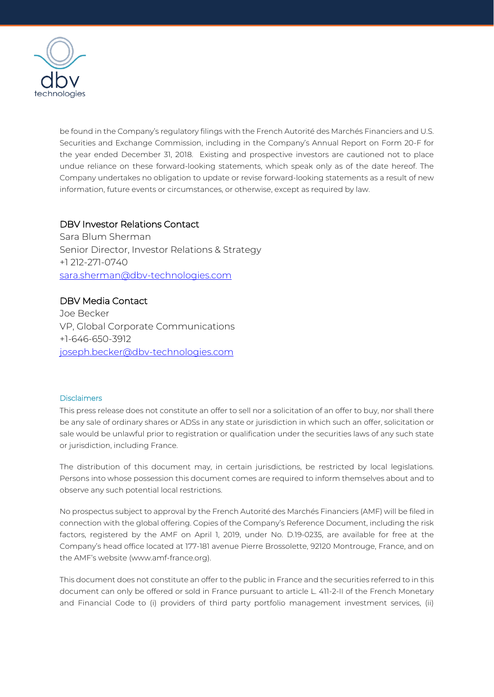

be found in the Company's regulatory filings with the French Autorité des Marchés Financiers and U.S. Securities and Exchange Commission, including in the Company's Annual Report on Form 20-F for the year ended December 31, 2018. Existing and prospective investors are cautioned not to place undue reliance on these forward-looking statements, which speak only as of the date hereof. The Company undertakes no obligation to update or revise forward-looking statements as a result of new information, future events or circumstances, or otherwise, except as required by law.

## DBV Investor Relations Contact

Sara Blum Sherman Senior Director, Investor Relations & Strategy +1 212-271-0740 [sara.sherman@dbv-technologies.com](mailto:sara.sherman@dbv-technologies.com)

## DBV Media Contact

Joe Becker VP, Global Corporate Communications +1-646-650-3912 joseph.becker@dbv-technologies.com

### **Disclaimers**

This press release does not constitute an offer to sell nor a solicitation of an offer to buy, nor shall there be any sale of ordinary shares or ADSs in any state or jurisdiction in which such an offer, solicitation or sale would be unlawful prior to registration or qualification under the securities laws of any such state or jurisdiction, including France.

The distribution of this document may, in certain jurisdictions, be restricted by local legislations. Persons into whose possession this document comes are required to inform themselves about and to observe any such potential local restrictions.

No prospectus subject to approval by the French Autorité des Marchés Financiers (AMF) will be filed in connection with the global offering. Copies of the Company's Reference Document, including the risk factors, registered by the AMF on April 1, 2019, under No. D.19-0235, are available for free at the Company's head office located at 177-181 avenue Pierre Brossolette, 92120 Montrouge, France, and on the AMF's website [\(www.amf-france.org\)](http://www.amf-france.org/).

This document does not constitute an offer to the public in France and the securities referred to in this document can only be offered or sold in France pursuant to article L. 411-2-II of the French Monetary and Financial Code to (i) providers of third party portfolio management investment services, (ii)